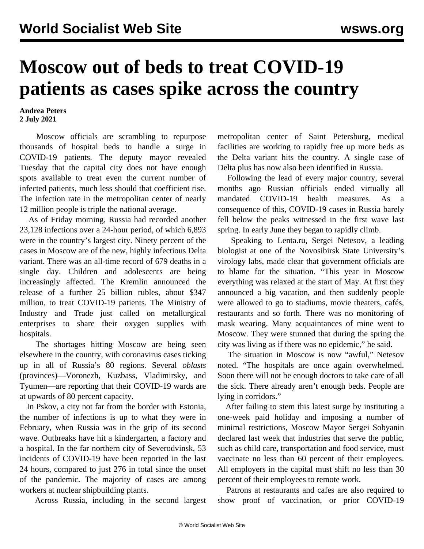## **Moscow out of beds to treat COVID-19 patients as cases spike across the country**

## **Andrea Peters 2 July 2021**

 Moscow officials are scrambling to repurpose thousands of hospital beds to handle a surge in COVID-19 patients. The deputy mayor revealed Tuesday that the capital city does not have enough spots available to treat even the current number of infected patients, much less should that coefficient rise. The infection rate in the metropolitan center of nearly 12 million people is triple the national average.

 As of Friday morning, Russia had recorded another 23,128 infections over a 24-hour period, of which 6,893 were in the country's largest city. Ninety percent of the cases in Moscow are of the new, highly infectious Delta variant. There was an all-time record of 679 deaths in a single day. Children and adolescents are being increasingly affected. The Kremlin announced the release of a further 25 billion rubles, about \$347 million, to treat COVID-19 patients. The Ministry of Industry and Trade just called on metallurgical enterprises to share their oxygen supplies with hospitals.

 The shortages hitting Moscow are being seen elsewhere in the country, with coronavirus cases ticking up in all of Russia's 80 regions. Several *oblasts* (provinces)—Voronezh, Kuzbass, Vladimirsky, and Tyumen—are reporting that their COVID-19 wards are at upwards of 80 percent capacity.

 In Pskov, a city not far from the border with Estonia, the number of infections is up to what they were in February, when Russia was in the grip of its second wave. Outbreaks have hit a kindergarten, a factory and a hospital. In the far northern city of Severodvinsk, 53 incidents of COVID-19 have been reported in the last 24 hours, compared to just 276 in total since the onset of the pandemic. The majority of cases are among workers at nuclear shipbuilding plants.

Across Russia, including in the second largest

metropolitan center of Saint Petersburg, medical facilities are working to rapidly free up more beds as the Delta variant hits the country. A single case of Delta plus has now also been identified in Russia.

 Following the lead of every major country, several months ago Russian officials ended virtually all mandated COVID-19 health measures. As a consequence of this, COVID-19 cases in Russia barely fell below the peaks witnessed in the first wave last spring. In early June they began to rapidly climb.

 Speaking to Lenta.ru, Sergei Netesov, a leading biologist at one of the Novosibirsk State University's virology labs, made clear that government officials are to blame for the situation. "This year in Moscow everything was relaxed at the start of May. At first they announced a big vacation, and then suddenly people were allowed to go to stadiums, movie theaters, cafés, restaurants and so forth. There was no monitoring of mask wearing. Many acquaintances of mine went to Moscow. They were stunned that during the spring the city was living as if there was no epidemic," he said.

 The situation in Moscow is now "awful," Netesov noted. "The hospitals are once again overwhelmed. Soon there will not be enough doctors to take care of all the sick. There already aren't enough beds. People are lying in corridors."

 After failing to stem this latest surge by instituting a one-week paid holiday and imposing a number of minimal restrictions, Moscow Mayor Sergei Sobyanin declared last week that industries that serve the public, such as child care, transportation and food service, must vaccinate no less than 60 percent of their employees. All employers in the capital must shift no less than 30 percent of their employees to remote work.

 Patrons at restaurants and cafes are also required to show proof of vaccination, or prior COVID-19